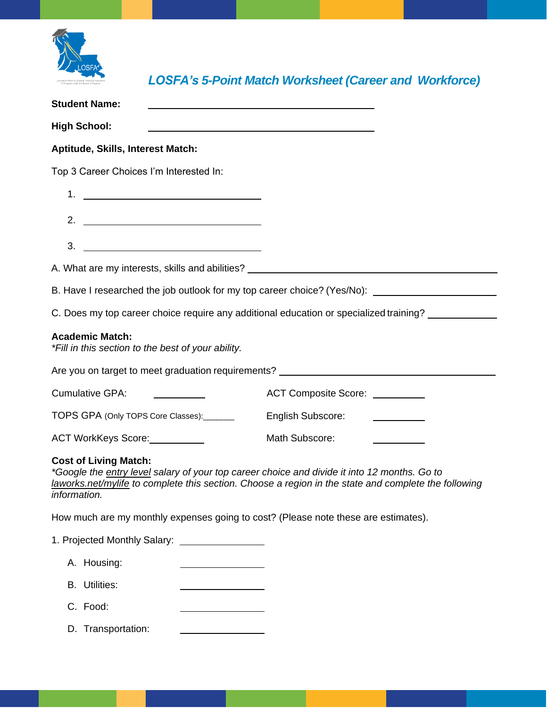

*LOSFA's 5-Point Match Worksheet (Career and Workforce)*

| <b>Student Name:</b>                                                                                                                                |                                                                                                                |
|-----------------------------------------------------------------------------------------------------------------------------------------------------|----------------------------------------------------------------------------------------------------------------|
| <b>High School:</b>                                                                                                                                 |                                                                                                                |
| Aptitude, Skills, Interest Match:                                                                                                                   |                                                                                                                |
| Top 3 Career Choices I'm Interested In:                                                                                                             |                                                                                                                |
| 1.<br><u> 1989 - Johann Barbara, martin amerikan ba</u>                                                                                             |                                                                                                                |
| 2. $\qquad \qquad$                                                                                                                                  |                                                                                                                |
| 3.                                                                                                                                                  |                                                                                                                |
|                                                                                                                                                     |                                                                                                                |
|                                                                                                                                                     | B. Have I researched the job outlook for my top career choice? (Yes/No): ___________________________           |
|                                                                                                                                                     | C. Does my top career choice require any additional education or specialized training?                         |
| <b>Academic Match:</b><br>*Fill in this section to the best of your ability.                                                                        |                                                                                                                |
| Are you on target to meet graduation requirements? _____________________________                                                                    |                                                                                                                |
| <b>Cumulative GPA:</b>                                                                                                                              | ACT Composite Score: _________                                                                                 |
| TOPS GPA (Only TOPS Core Classes):                                                                                                                  | <b>English Subscore:</b><br>$\overline{\phantom{a}}$ and $\overline{\phantom{a}}$ and $\overline{\phantom{a}}$ |
| ACT WorkKeys Score:                                                                                                                                 | Math Subscore:                                                                                                 |
| <b>Cost of Living Match:</b><br>*Google the entry level salary of your top career choice and divide it into 12 months. Go to<br><i>information.</i> | laworks.net/mylife to complete this section. Choose a region in the state and complete the following           |
| How much are my monthly expenses going to cost? (Please note these are estimates).                                                                  |                                                                                                                |
|                                                                                                                                                     |                                                                                                                |
| A. Housing:                                                                                                                                         |                                                                                                                |
| <b>B.</b> Utilities:                                                                                                                                |                                                                                                                |
| C. Food:                                                                                                                                            |                                                                                                                |

D. Transportation: